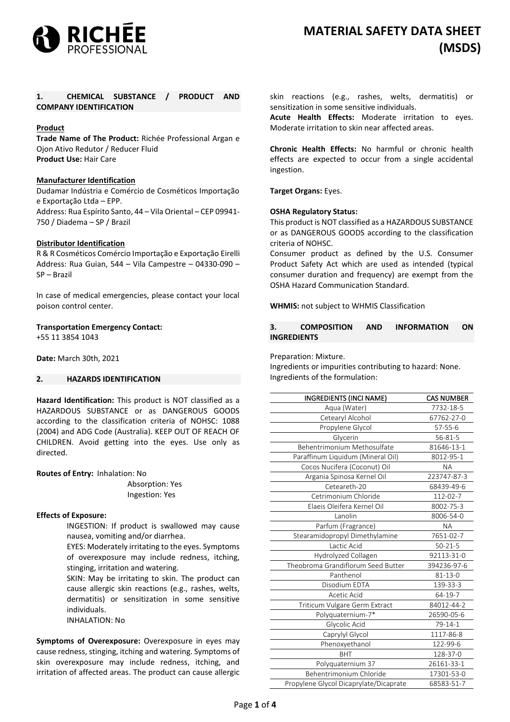

# **1. CHEMICAL SUBSTANCE / PRODUCT AND COMPANY IDENTIFICATION**

# **Product**

**Trade Name of The Product:** Richée Professional Argan e Ojon Ativo Redutor / Reducer Fluid **Product Use:** Hair Care

## **Manufacturer Identification**

Dudamar Indústria e Comércio de Cosméticos Importação e Exportação Ltda – EPP. Address: Rua Espírito Santo, 44 – Vila Oriental – CEP 09941- 750 / Diadema – SP / Brazil

# **Distributor Identification**

R & R Cosméticos Comércio Importação e Exportação Eirelli Address: Rua Guian, 544 – Vila Campestre – 04330-090 – SP – Brazil

In case of medical emergencies, please contact your local poison control center.

## **Transportation Emergency Contact:**

+55 11 3854 1043

**Date:** March 30th, 2021

# **2. HAZARDS IDENTIFICATION**

**Hazard Identification:** This product is NOT classified as a HAZARDOUS SUBSTANCE or as DANGEROUS GOODS according to the classification criteria of NOHSC: 1088 (2004) and ADG Code (Australia). KEEP OUT OF REACH OF CHILDREN. Avoid getting into the eyes. Use only as directed.

## **Routes of Entry:** Inhalation: No

Absorption: Yes Ingestion: Yes

## **Effects of Exposure:**

INGESTION: If product is swallowed may cause nausea, vomiting and/or diarrhea.

EYES: Moderately irritating to the eyes. Symptoms of overexposure may include redness, itching, stinging, irritation and watering.

SKIN: May be irritating to skin. The product can cause allergic skin reactions (e.g., rashes, welts, dermatitis) or sensitization in some sensitive individuals.

INHALATION: No

**Symptoms of Overexposure:** Overexposure in eyes may cause redness, stinging, itching and watering. Symptoms of skin overexposure may include redness, itching, and irritation of affected areas. The product can cause allergic skin reactions (e.g., rashes, welts, dermatitis) or sensitization in some sensitive individuals.

**Acute Health Effects:** Moderate irritation to eyes. Moderate irritation to skin near affected areas.

**Chronic Health Effects:** No harmful or chronic health effects are expected to occur from a single accidental ingestion.

**Target Organs:** Eyes.

## **OSHA Regulatory Status:**

This product is NOT classified as a HAZARDOUS SUBSTANCE or as DANGEROUS GOODS according to the classification criteria of NOHSC.

Consumer product as defined by the U.S. Consumer Product Safety Act which are used as intended (typical consumer duration and frequency) are exempt from the OSHA Hazard Communication Standard.

**WHMIS:** not subject to WHMIS Classification

**3. COMPOSITION AND INFORMATION ON INGREDIENTS**

### Preparation: Mixture.

Ingredients or impurities contributing to hazard: None. Ingredients of the formulation:

| <b>INGREDIENTS (INCI NAME)</b>         | <b>CAS NUMBER</b> |
|----------------------------------------|-------------------|
| Aqua (Water)                           | 7732-18-5         |
| Cetearyl Alcohol                       | 67762-27-0        |
| Propylene Glycol                       | $57 - 55 - 6$     |
| Glycerin                               | 56-81-5           |
| Behentrimonium Methosulfate            | 81646-13-1        |
| Paraffinum Liquidum (Mineral Oil)      | 8012-95-1         |
| Cocos Nucifera (Coconut) Oil           | <b>NA</b>         |
| Argania Spinosa Kernel Oil             | 223747-87-3       |
| Ceteareth-20                           | 68439-49-6        |
| Cetrimonium Chloride                   | 112-02-7          |
| Elaeis Oleifera Kernel Oil             | 8002-75-3         |
| Lanolin                                | 8006-54-0         |
| Parfum (Fragrance)                     | <b>NA</b>         |
| Stearamidopropyl Dimethylamine         | 7651-02-7         |
| Lactic Acid                            | $50 - 21 - 5$     |
| Hydrolyzed Collagen                    | 92113-31-0        |
| Theobroma Grandiflorum Seed Butter     | 394236-97-6       |
| Panthenol                              | $81 - 13 - 0$     |
| Disodium EDTA                          | 139-33-3          |
| Acetic Acid                            | 64-19-7           |
| Triticum Vulgare Germ Extract          | 84012-44-2        |
| Polyquaternium-7*                      | 26590-05-6        |
| Glycolic Acid                          | 79-14-1           |
| Caprylyl Glycol                        | 1117-86-8         |
| Phenoxyethanol                         | 122-99-6          |
| <b>BHT</b>                             | 128-37-0          |
| Polyquaternium 37                      | 26161-33-1        |
| Behentrimonium Chloride                | 17301-53-0        |
| Propylene Glycol Dicaprylate/Dicaprate | 68583-51-7        |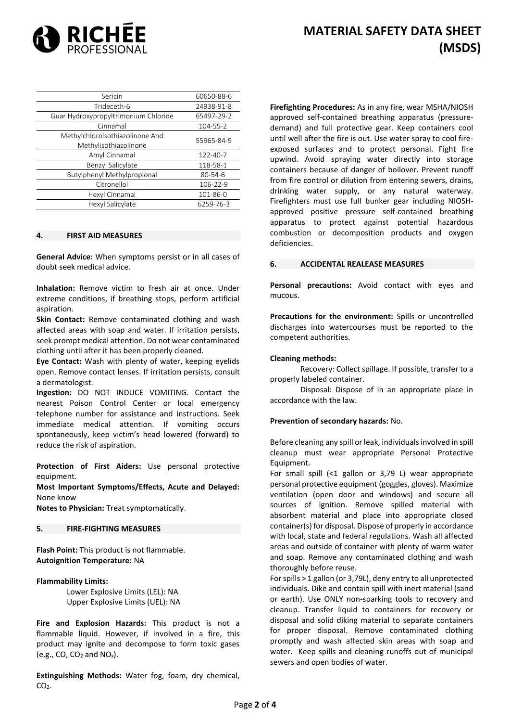

| Sericin                                                  | 60650-88-6    |
|----------------------------------------------------------|---------------|
| Trideceth-6                                              | 24938-91-8    |
| Guar Hydroxypropyltrimonium Chloride                     | 65497-29-2    |
| Cinnamal                                                 | 104-55-2      |
| Methylchloroisothiazolinone And<br>Methylisothiazolinone | 55965-84-9    |
| Amyl Cinnamal                                            | 122-40-7      |
| Benzyl Salicylate                                        | 118-58-1      |
| Butylphenyl Methylpropional                              | $80 - 54 - 6$ |
| Citronellol                                              | 106-22-9      |
| Hexyl Cinnamal                                           | 101-86-0      |
| Hexyl Salicylate                                         | 6259-76-3     |

#### **4. FIRST AID MEASURES**

**General Advice:** When symptoms persist or in all cases of doubt seek medical advice.

**Inhalation:** Remove victim to fresh air at once. Under extreme conditions, if breathing stops, perform artificial aspiration.

**Skin Contact:** Remove contaminated clothing and wash affected areas with soap and water. If irritation persists, seek prompt medical attention. Do not wear contaminated clothing until after it has been properly cleaned.

**Eye Contact:** Wash with plenty of water, keeping eyelids open. Remove contact lenses. If irritation persists, consult a dermatologist.

**Ingestion:** DO NOT INDUCE VOMITING. Contact the nearest Poison Control Center or local emergency telephone number for assistance and instructions. Seek immediate medical attention. If vomiting occurs spontaneously, keep victim's head lowered (forward) to reduce the risk of aspiration.

**Protection of First Aiders:** Use personal protective equipment.

**Most Important Symptoms/Effects, Acute and Delayed:** None know

**Notes to Physician:** Treat symptomatically.

# **5. FIRE-FIGHTING MEASURES**

**Flash Point:** This product is not flammable. **Autoignition Temperature:** NA

## **Flammability Limits:**

Lower Explosive Limits (LEL): NA Upper Explosive Limits (UEL): NA

**Fire and Explosion Hazards:** This product is not a flammable liquid. However, if involved in a fire, this product may ignite and decompose to form toxic gases (e.g., CO,  $CO<sub>2</sub>$  and NO<sub>x</sub>).

**Extinguishing Methods:** Water fog, foam, dry chemical,  $CO<sub>2</sub>$ .

**Firefighting Procedures:** As in any fire, wear MSHA/NIOSH approved self-contained breathing apparatus (pressuredemand) and full protective gear. Keep containers cool until well after the fire is out. Use water spray to cool fireexposed surfaces and to protect personal. Fight fire upwind. Avoid spraying water directly into storage containers because of danger of boilover. Prevent runoff from fire control or dilution from entering sewers, drains, drinking water supply, or any natural waterway. Firefighters must use full bunker gear including NIOSHapproved positive pressure self-contained breathing apparatus to protect against potential hazardous combustion or decomposition products and oxygen deficiencies.

### **6. ACCIDENTAL REALEASE MEASURES**

**Personal precautions:** Avoid contact with eyes and mucous.

**Precautions for the environment:** Spills or uncontrolled discharges into watercourses must be reported to the competent authorities.

### **Cleaning methods:**

Recovery: Collect spillage. If possible, transfer to a properly labeled container.

Disposal: Dispose of in an appropriate place in accordance with the law.

#### **Prevention of secondary hazards:** No.

Before cleaning any spill or leak, individuals involved in spill cleanup must wear appropriate Personal Protective Equipment.

For small spill (<1 gallon or 3,79 L) wear appropriate personal protective equipment (goggles, gloves). Maximize ventilation (open door and windows) and secure all sources of ignition. Remove spilled material with absorbent material and place into appropriate closed container(s) for disposal. Dispose of properly in accordance with local, state and federal regulations. Wash all affected areas and outside of container with plenty of warm water and soap. Remove any contaminated clothing and wash thoroughly before reuse.

For spills > 1 gallon (or 3,79L), deny entry to all unprotected individuals. Dike and contain spill with inert material (sand or earth). Use ONLY non-sparking tools to recovery and cleanup. Transfer liquid to containers for recovery or disposal and solid diking material to separate containers for proper disposal. Remove contaminated clothing promptly and wash affected skin areas with soap and water. Keep spills and cleaning runoffs out of municipal sewers and open bodies of water.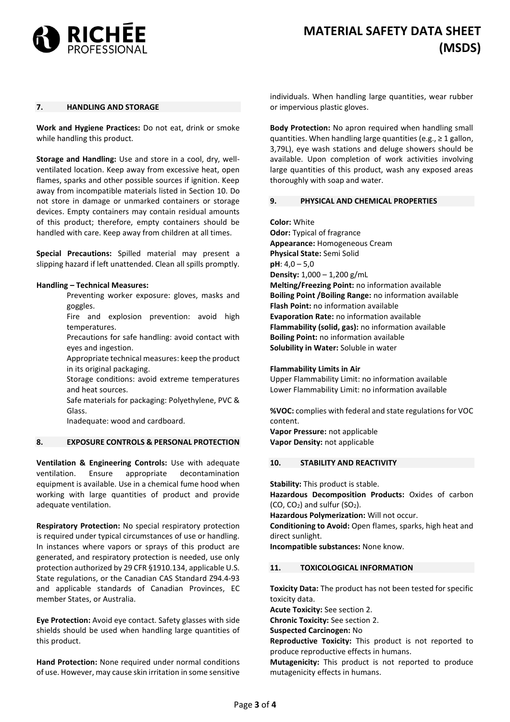

## **7. HANDLING AND STORAGE**

**Work and Hygiene Practices:** Do not eat, drink or smoke while handling this product.

**Storage and Handling:** Use and store in a cool, dry, wellventilated location. Keep away from excessive heat, open flames, sparks and other possible sources if ignition. Keep away from incompatible materials listed in Section 10. Do not store in damage or unmarked containers or storage devices. Empty containers may contain residual amounts of this product; therefore, empty containers should be handled with care. Keep away from children at all times.

**Special Precautions:** Spilled material may present a slipping hazard if left unattended. Clean all spills promptly.

#### **Handling – Technical Measures:**

Preventing worker exposure: gloves, masks and goggles.

Fire and explosion prevention: avoid high temperatures.

Precautions for safe handling: avoid contact with eyes and ingestion.

Appropriate technical measures: keep the product in its original packaging.

Storage conditions: avoid extreme temperatures and heat sources.

Safe materials for packaging: Polyethylene, PVC & Glass.

Inadequate: wood and cardboard.

#### **8. EXPOSURE CONTROLS & PERSONAL PROTECTION**

**Ventilation & Engineering Controls:** Use with adequate ventilation. Ensure appropriate decontamination equipment is available. Use in a chemical fume hood when working with large quantities of product and provide adequate ventilation.

**Respiratory Protection:** No special respiratory protection is required under typical circumstances of use or handling. In instances where vapors or sprays of this product are generated, and respiratory protection is needed, use only protection authorized by 29 CFR §1910.134, applicable U.S. State regulations, or the Canadian CAS Standard Z94.4-93 and applicable standards of Canadian Provinces, EC member States, or Australia.

**Eye Protection:** Avoid eye contact. Safety glasses with side shields should be used when handling large quantities of this product.

**Hand Protection:** None required under normal conditions of use. However, may cause skin irritation in some sensitive

individuals. When handling large quantities, wear rubber or impervious plastic gloves.

**Body Protection:** No apron required when handling small quantities. When handling large quantities (e.g.,  $\geq 1$  gallon, 3,79L), eye wash stations and deluge showers should be available. Upon completion of work activities involving large quantities of this product, wash any exposed areas thoroughly with soap and water.

### **9. PHYSICAL AND CHEMICAL PROPERTIES**

**Color:** White **Odor:** Typical of fragrance **Appearance:** Homogeneous Cream **Physical State:** Semi Solid **pH**: 4,0 – 5,0 **Density:** 1,000 – 1,200 g/mL **Melting/Freezing Point:** no information available **Boiling Point /Boiling Range:** no information available **Flash Point:** no information available **Evaporation Rate:** no information available **Flammability (solid, gas):** no information available **Boiling Point:** no information available **Solubility in Water:** Soluble in water

#### **Flammability Limits in Air**

Upper Flammability Limit: no information available Lower Flammability Limit: no information available

**%VOC:** complies with federal and state regulations for VOC content.

**Vapor Pressure:** not applicable **Vapor Density:** not applicable

### **10. STABILITY AND REACTIVITY**

**Stability:** This product is stable.

**Hazardous Decomposition Products:** Oxides of carbon  $(CO, CO<sub>2</sub>)$  and sulfur  $(SO<sub>2</sub>)$ .

**Hazardous Polymerization:** Will not occur.

**Conditioning to Avoid:** Open flames, sparks, high heat and direct sunlight.

**Incompatible substances:** None know.

# **11. TOXICOLOGICAL INFORMATION**

**Toxicity Data:** The product has not been tested for specific toxicity data.

**Acute Toxicity:** See section 2.

**Chronic Toxicity:** See section 2.

**Suspected Carcinogen:** No

**Reproductive Toxicity:** This product is not reported to produce reproductive effects in humans.

**Mutagenicity:** This product is not reported to produce mutagenicity effects in humans.